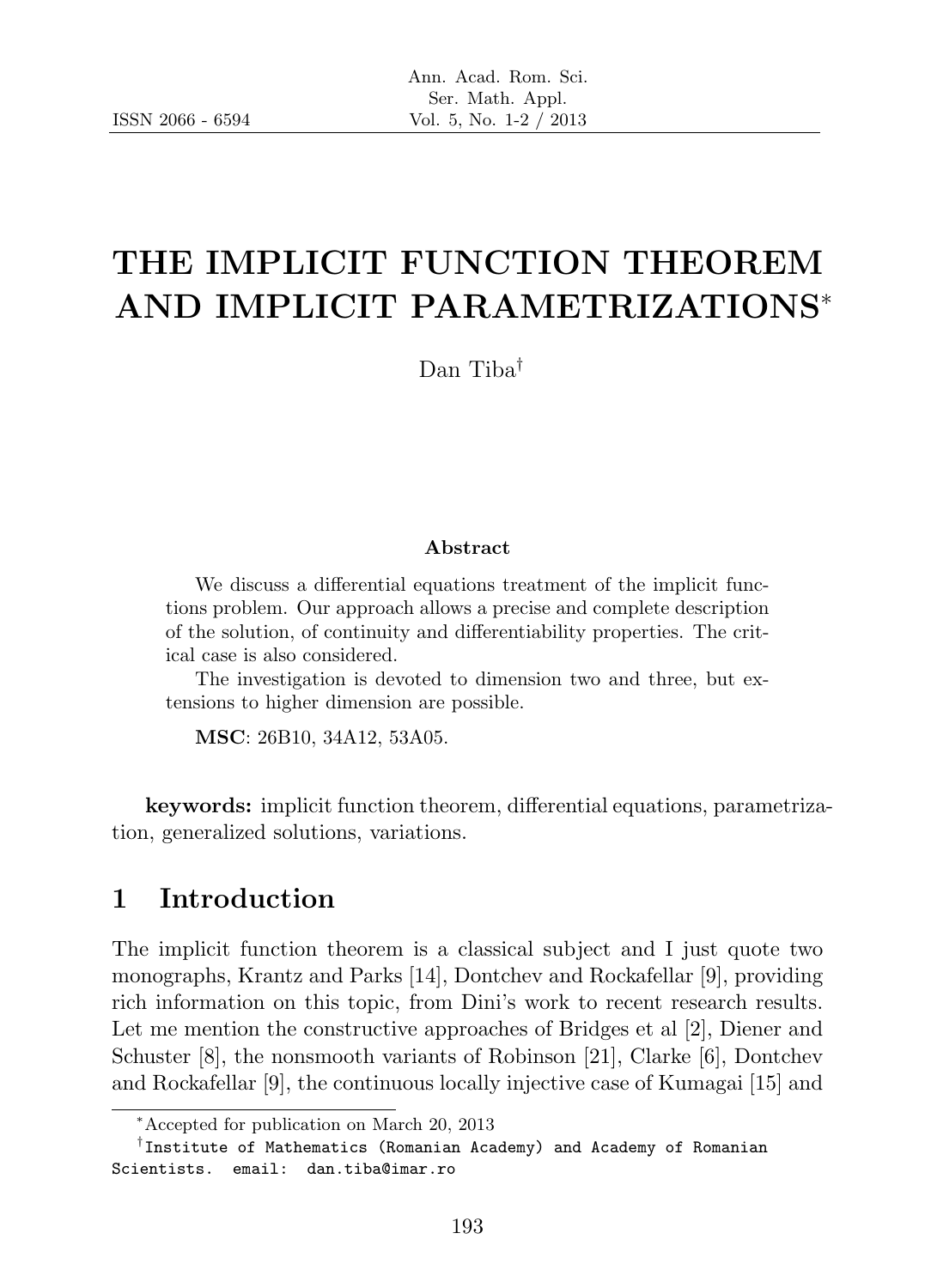# THE IMPLICIT FUNCTION THEOREM AND IMPLICIT PARAMETRIZATIONS<sup>∗</sup>

Dan Tiba†

#### Abstract

We discuss a differential equations treatment of the implicit functions problem. Our approach allows a precise and complete description of the solution, of continuity and differentiability properties. The critical case is also considered.

The investigation is devoted to dimension two and three, but extensions to higher dimension are possible.

MSC: 26B10, 34A12, 53A05.

keywords: implicit function theorem, differential equations, parametrization, generalized solutions, variations.

## 1 Introduction

The implicit function theorem is a classical subject and I just quote two monographs, Krantz and Parks [14], Dontchev and Rockafellar [9], providing rich information on this topic, from Dini's work to recent research results. Let me mention the constructive approaches of Bridges et al [2], Diener and Schuster [8], the nonsmooth variants of Robinson [21], Clarke [6], Dontchev and Rockafellar [9], the continuous locally injective case of Kumagai [15] and

<sup>∗</sup>Accepted for publication on March 20, 2013

<sup>†</sup> Institute of Mathematics (Romanian Academy) and Academy of Romanian Scientists. email: dan.tiba@imar.ro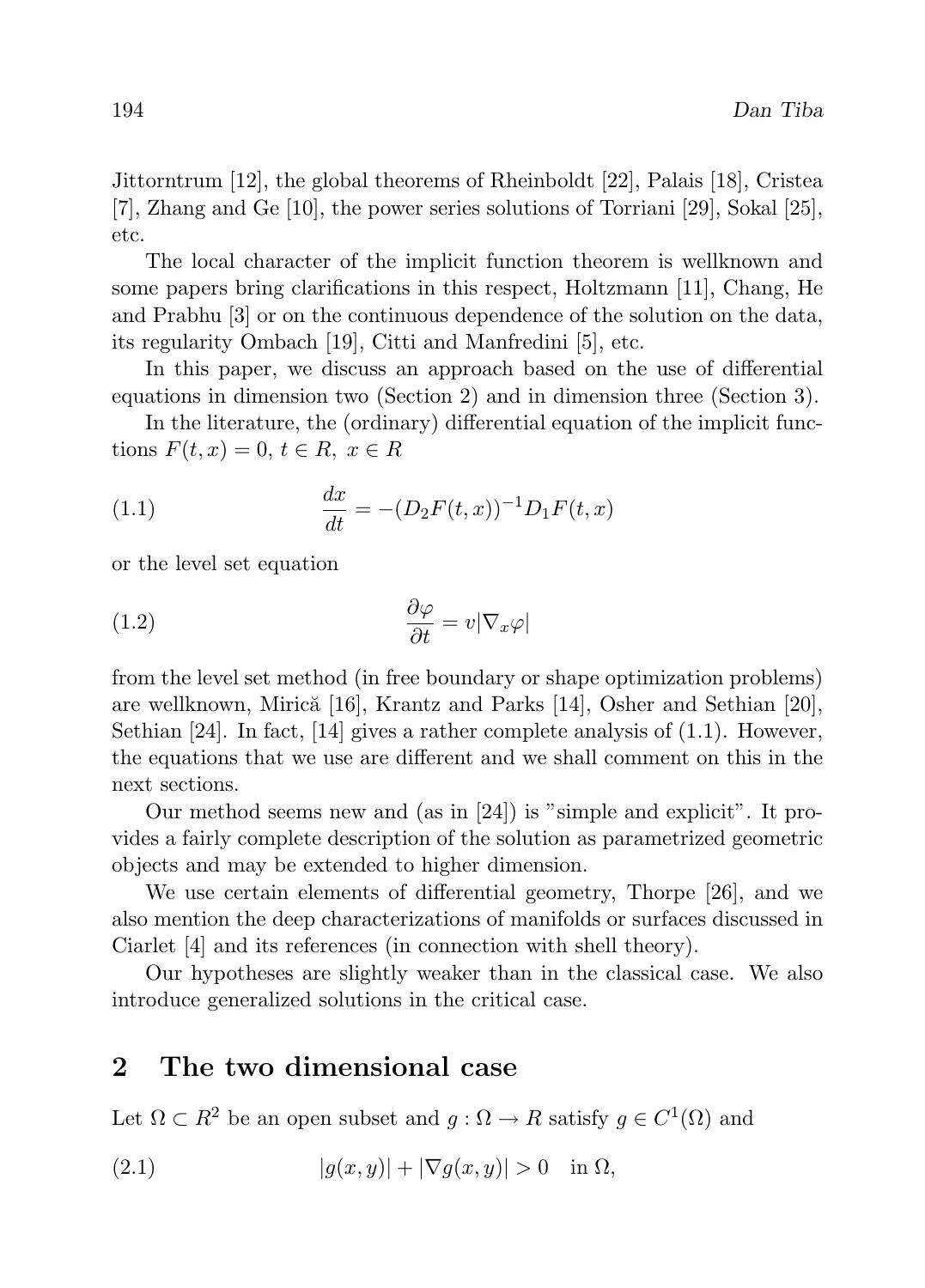Jittorntrum [12], the global theorems of Rheinboldt [22], Palais [18], Cristea [7], Zhang and Ge [10], the power series solutions of Torriani [29], Sokal [25], etc.

The local character of the implicit function theorem is wellknown and some papers bring clarifications in this respect, Holtzmann [11], Chang, He and Prabhu [3] or on the continuous dependence of the solution on the data, its regularity Ombach [19], Citti and Manfredini [5], etc.

In this paper, we discuss an approach based on the use of differential equations in dimension two (Section 2) and in dimension three (Section 3).

In the literature, the (ordinary) differential equation of the implicit functions  $F(t, x) = 0, t \in R, x \in R$ 

(1.1) 
$$
\frac{dx}{dt} = -(D_2F(t,x))^{-1}D_1F(t,x)
$$

or the level set equation

(1.2) 
$$
\frac{\partial \varphi}{\partial t} = v |\nabla_x \varphi|
$$

from the level set method (in free boundary or shape optimization problems) are wellknown, Mirică  $[16]$ , Krantz and Parks  $[14]$ , Osher and Sethian  $[20]$ , Sethian  $[24]$ . In fact,  $[14]$  gives a rather complete analysis of  $(1.1)$ . However, the equations that we use are different and we shall comment on this in the next sections.

Our method seems new and (as in [24]) is "simple and explicit". It provides a fairly complete description of the solution as parametrized geometric objects and may be extended to higher dimension.

We use certain elements of differential geometry, Thorpe [26], and we also mention the deep characterizations of manifolds or surfaces discussed in Ciarlet [4] and its references (in connection with shell theory).

Our hypotheses are slightly weaker than in the classical case. We also introduce generalized solutions in the critical case.

# 2 The two dimensional case

Let  $\Omega \subset R^2$  be an open subset and  $g : \Omega \to R$  satisfy  $g \in C^1(\Omega)$  and

$$
(2.1) \t\t |g(x,y)| + |\nabla g(x,y)| > 0 \t\t \text{in } \Omega,
$$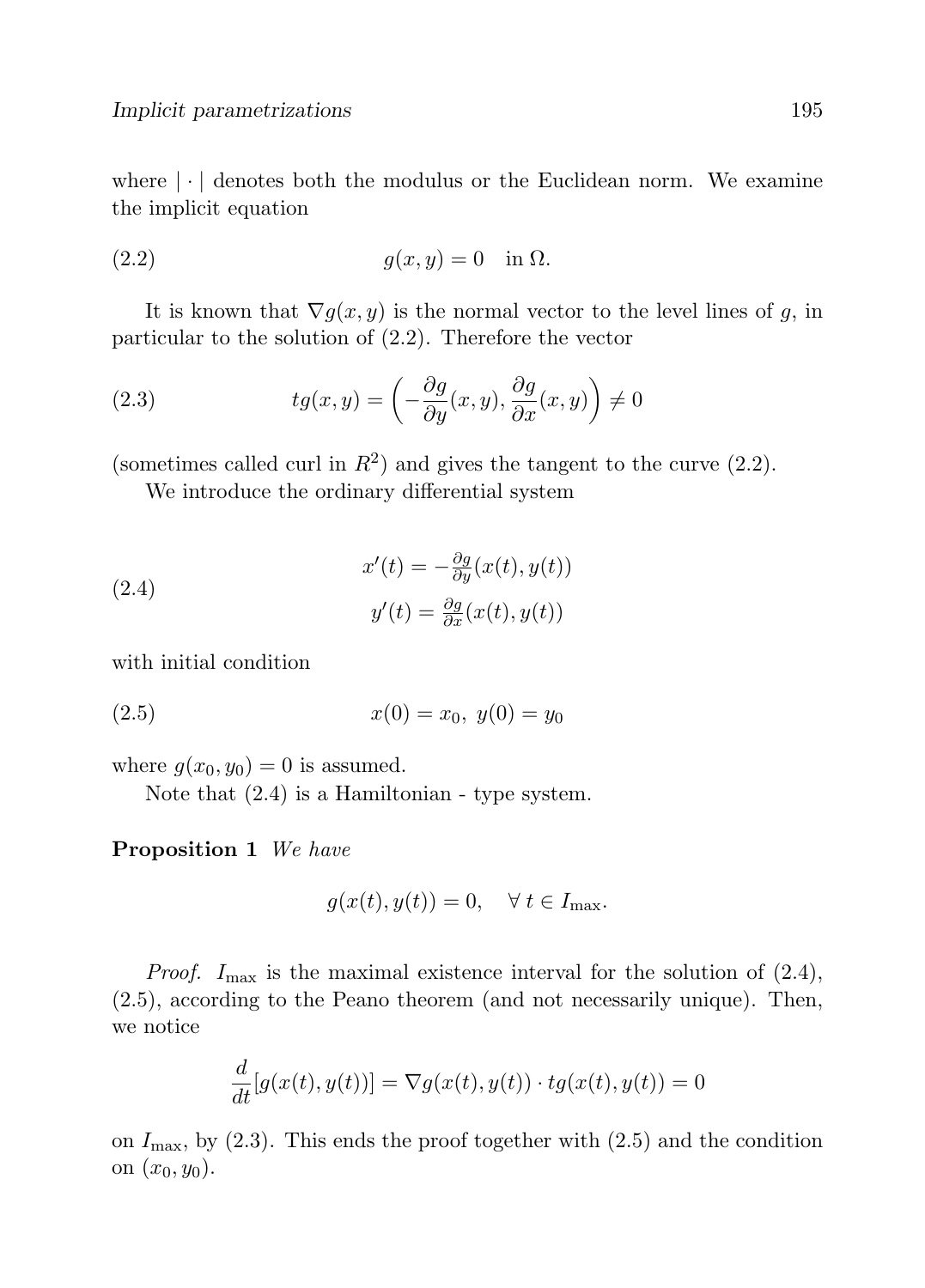where  $|\cdot|$  denotes both the modulus or the Euclidean norm. We examine the implicit equation

$$
(2.2) \t\t g(x,y) = 0 \t\t in  $\Omega$ .
$$

It is known that  $\nabla g(x, y)$  is the normal vector to the level lines of g, in particular to the solution of (2.2). Therefore the vector

(2.3) 
$$
tg(x,y) = \left(-\frac{\partial g}{\partial y}(x,y), \frac{\partial g}{\partial x}(x,y)\right) \neq 0
$$

(sometimes called curl in  $R^2$ ) and gives the tangent to the curve (2.2).

We introduce the ordinary differential system

(2.4) 
$$
x'(t) = -\frac{\partial g}{\partial y}(x(t), y(t))
$$

$$
y'(t) = \frac{\partial g}{\partial x}(x(t), y(t))
$$

with initial condition

$$
(2.5) \t\t x(0) = x_0, \ y(0) = y_0
$$

where  $g(x_0, y_0) = 0$  is assumed.

Note that (2.4) is a Hamiltonian - type system.

Proposition 1 We have

$$
g(x(t), y(t)) = 0, \quad \forall \ t \in I_{\max}.
$$

*Proof.*  $I_{\text{max}}$  is the maximal existence interval for the solution of (2.4), (2.5), according to the Peano theorem (and not necessarily unique). Then, we notice

$$
\frac{d}{dt}[g(x(t), y(t))] = \nabla g(x(t), y(t)) \cdot tg(x(t), y(t)) = 0
$$

on  $I_{\text{max}}$ , by (2.3). This ends the proof together with (2.5) and the condition on  $(x_0, y_0)$ .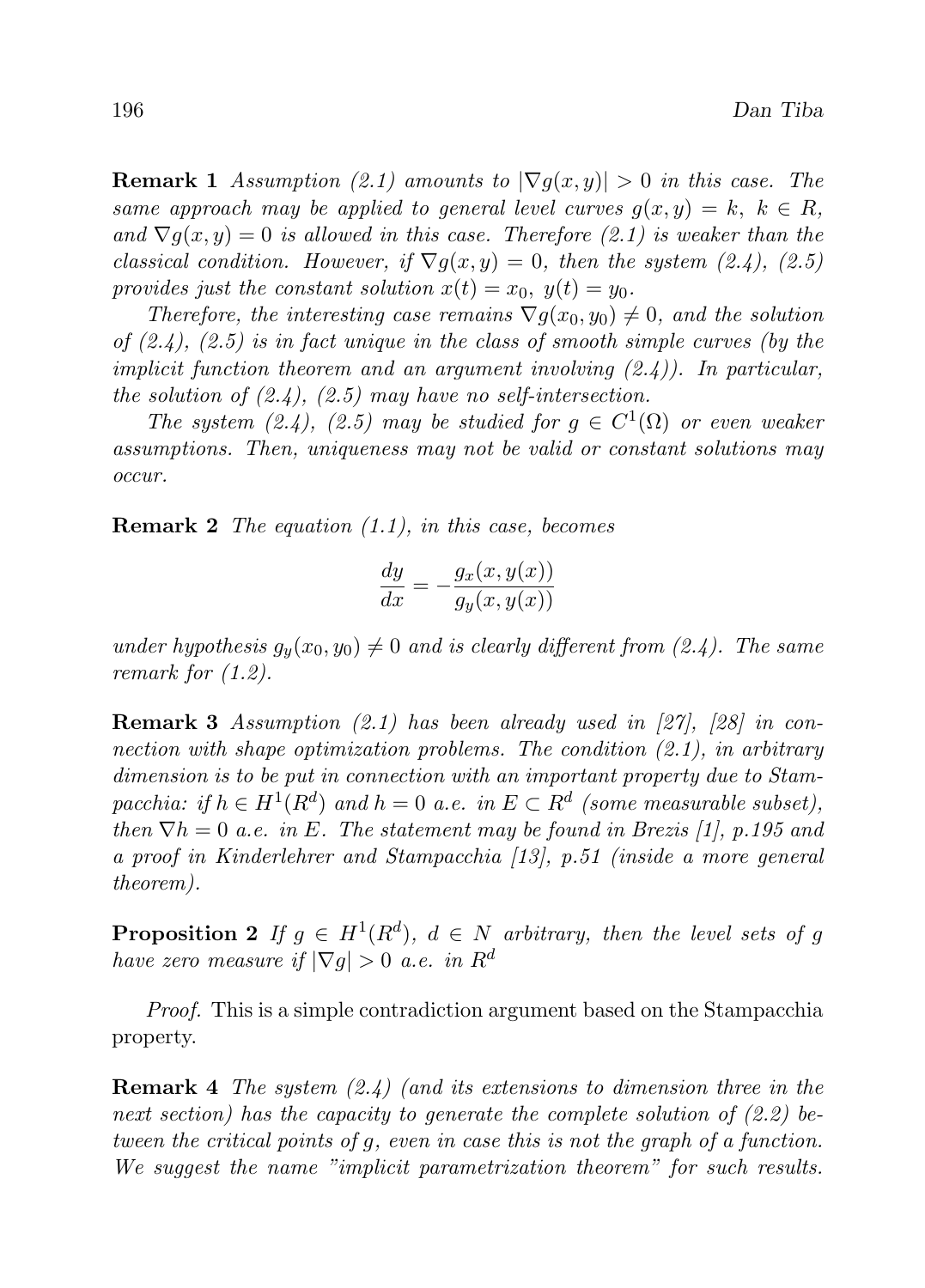**Remark 1** Assumption (2.1) amounts to  $|\nabla g(x, y)| > 0$  in this case. The same approach may be applied to general level curves  $g(x, y) = k$ ,  $k \in R$ , and  $\nabla g(x, y) = 0$  is allowed in this case. Therefore (2.1) is weaker than the classical condition. However, if  $\nabla q(x, y) = 0$ , then the system (2.4), (2.5) provides just the constant solution  $x(t) = x_0, y(t) = y_0$ .

Therefore, the interesting case remains  $\nabla q(x_0, y_0) \neq 0$ , and the solution of  $(2.4)$ ,  $(2.5)$  is in fact unique in the class of smooth simple curves (by the implicit function theorem and an argument involving  $(2.4)$ ). In particular, the solution of  $(2.4)$ ,  $(2.5)$  may have no self-intersection.

The system (2.4), (2.5) may be studied for  $g \in C^1(\Omega)$  or even weaker assumptions. Then, uniqueness may not be valid or constant solutions may occur.

**Remark 2** The equation  $(1.1)$ , in this case, becomes

$$
\frac{dy}{dx} = -\frac{g_x(x, y(x))}{g_y(x, y(x))}
$$

under hypothesis  $g_y(x_0, y_0) \neq 0$  and is clearly different from (2.4). The same remark for (1.2).

**Remark 3** Assumption  $(2.1)$  has been already used in  $[27]$ ,  $[28]$  in connection with shape optimization problems. The condition  $(2.1)$ , in arbitrary dimension is to be put in connection with an important property due to Stampacchia: if  $h \in H^1(R^d)$  and  $h = 0$  a.e. in  $E \subset R^d$  (some measurable subset), then  $\nabla h = 0$  a.e. in E. The statement may be found in Brezis [1], p.195 and a proof in Kinderlehrer and Stampacchia [13], p.51 (inside a more general theorem).

**Proposition 2** If  $g \in H^1(R^d)$ ,  $d \in N$  arbitrary, then the level sets of g have zero measure if  $|\nabla q| > 0$  a.e. in  $R^d$ 

Proof. This is a simple contradiction argument based on the Stampacchia property.

**Remark 4** The system  $(2.4)$  (and its extensions to dimension three in the next section) has the capacity to generate the complete solution of  $(2.2)$  between the critical points of g, even in case this is not the graph of a function. We suggest the name "implicit parametrization theorem" for such results.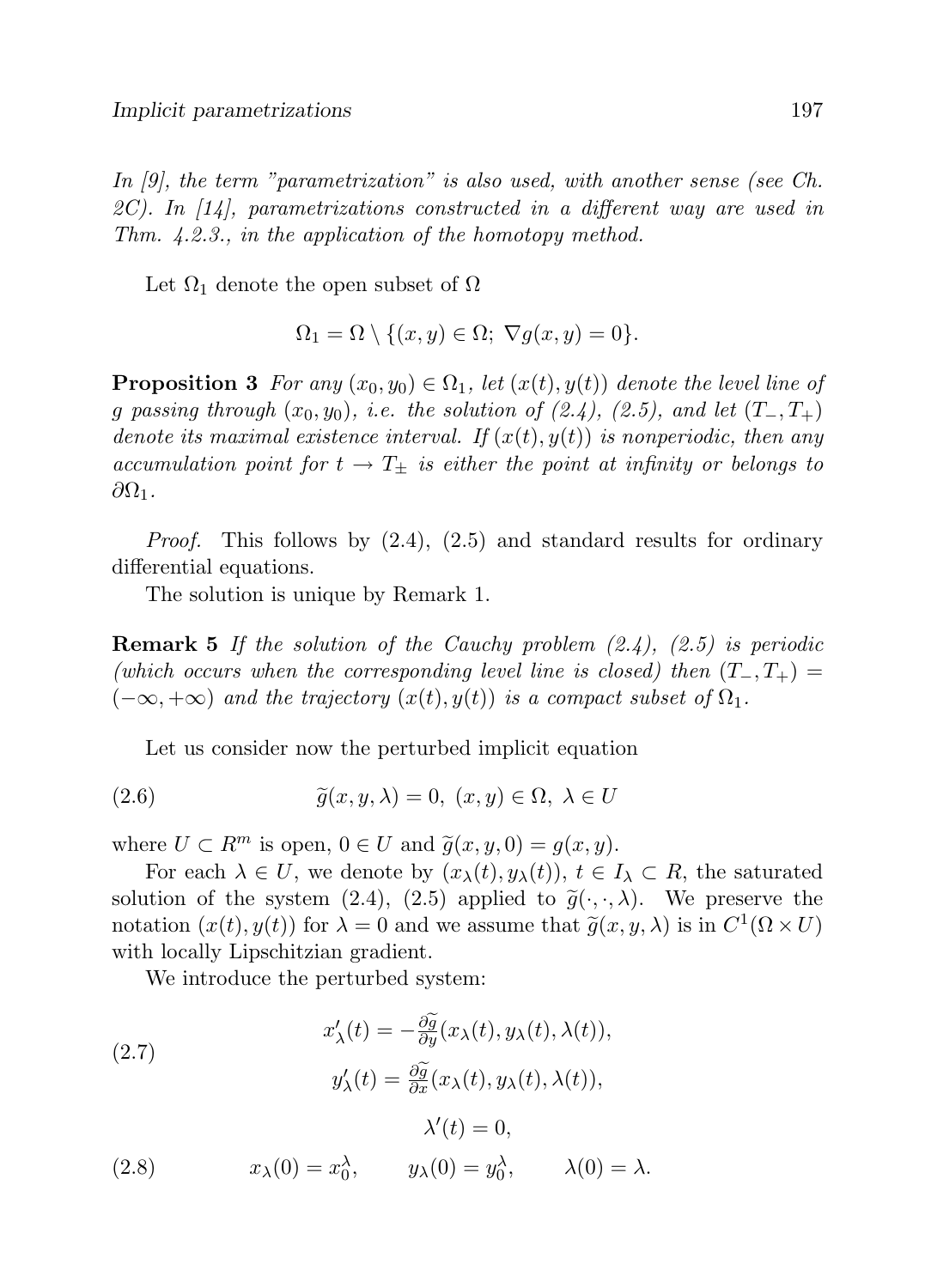In [9], the term "parametrization" is also used, with another sense (see Ch. 2C). In  $[14]$ , parametrizations constructed in a different way are used in Thm. 4.2.3., in the application of the homotopy method.

Let  $\Omega_1$  denote the open subset of  $\Omega$ 

$$
\Omega_1 = \Omega \setminus \{(x, y) \in \Omega; \ \nabla g(x, y) = 0\}.
$$

**Proposition 3** For any  $(x_0, y_0) \in \Omega_1$ , let  $(x(t), y(t))$  denote the level line of g passing through  $(x_0, y_0)$ , i.e. the solution of  $(2.4)$ ,  $(2.5)$ , and let  $(T_-, T_+)$ denote its maximal existence interval. If  $(x(t), y(t))$  is nonperiodic, then any accumulation point for  $t \to T_+$  is either the point at infinity or belongs to  $\partial\Omega_1$ .

*Proof.* This follows by  $(2.4)$ ,  $(2.5)$  and standard results for ordinary differential equations.

The solution is unique by Remark 1.

**Remark 5** If the solution of the Cauchy problem  $(2.4)$ ,  $(2.5)$  is periodic (which occurs when the corresponding level line is closed) then  $(T_-, T_+) =$  $(-\infty, +\infty)$  and the trajectory  $(x(t), y(t))$  is a compact subset of  $\Omega_1$ .

Let us consider now the perturbed implicit equation

(2.6) 
$$
\widetilde{g}(x, y, \lambda) = 0, (x, y) \in \Omega, \lambda \in U
$$

where  $U \subset R^m$  is open,  $0 \in U$  and  $\tilde{g}(x, y, 0) = g(x, y)$ .

For each  $\lambda \in U$ , we denote by  $(x_{\lambda}(t), y_{\lambda}(t)), t \in I_{\lambda} \subset R$ , the saturated solution of the system (2.4), (2.5) applied to  $\tilde{g}(\cdot,\cdot,\lambda)$ . We preserve the notation  $(x(t), y(t))$  for  $\lambda = 0$  and we assume that  $\tilde{g}(x, y, \lambda)$  is in  $C^1(\Omega \times U)$ with locally Lipschitzian gradient.

We introduce the perturbed system:

(2.7)  
\n
$$
x'_{\lambda}(t) = -\frac{\partial \widetilde{g}}{\partial y}(x_{\lambda}(t), y_{\lambda}(t), \lambda(t)),
$$
\n
$$
y'_{\lambda}(t) = \frac{\partial \widetilde{g}}{\partial x}(x_{\lambda}(t), y_{\lambda}(t), \lambda(t)),
$$
\n
$$
\lambda'(t) = 0,
$$
\n(2.8)  
\n
$$
x_{\lambda}(0) = x_{0}^{\lambda}, \qquad y_{\lambda}(0) = y_{0}^{\lambda}, \qquad \lambda(0) = \lambda.
$$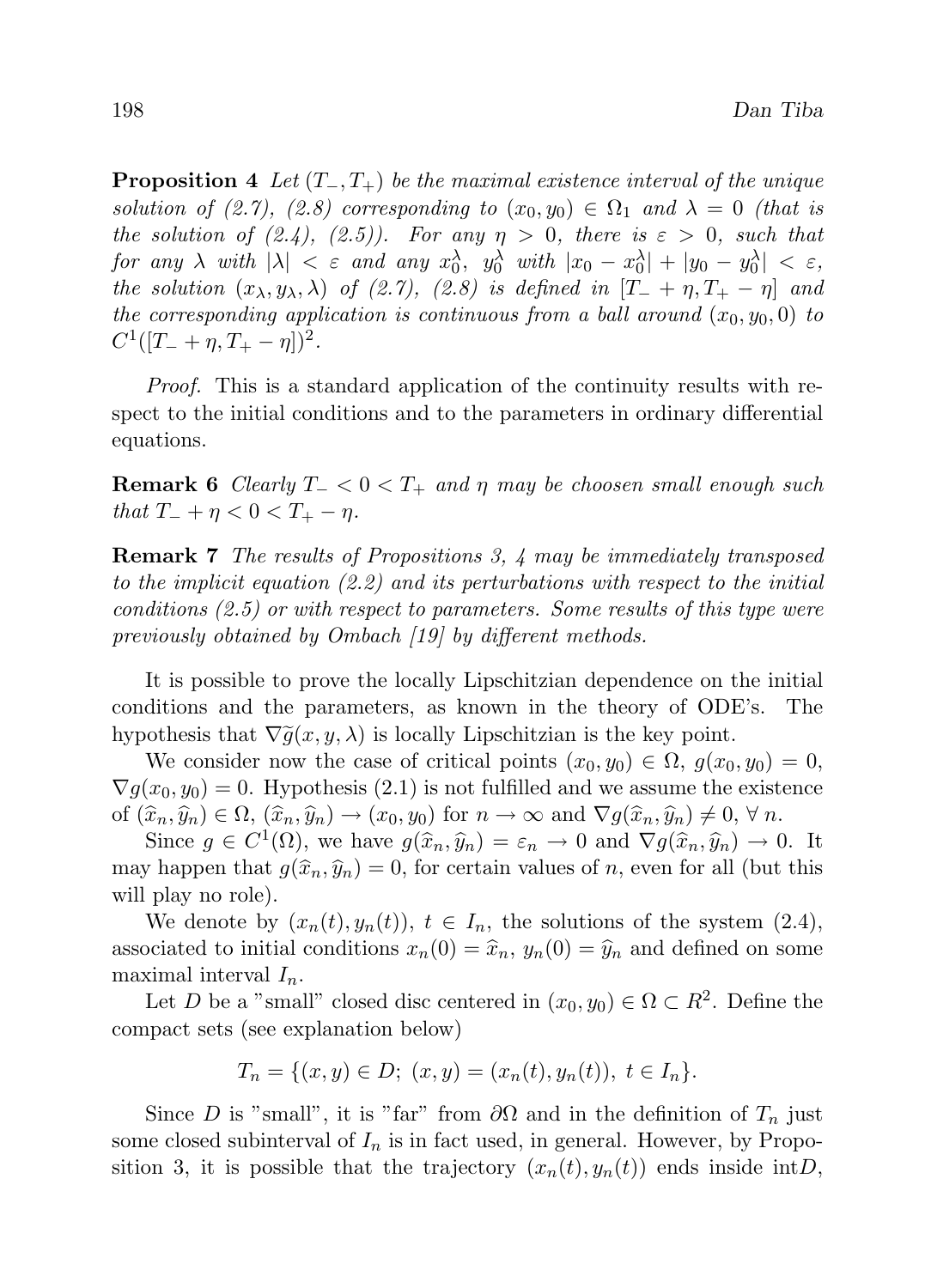**Proposition 4** Let  $(T_-, T_+)$  be the maximal existence interval of the unique solution of (2.7), (2.8) corresponding to  $(x_0, y_0) \in \Omega_1$  and  $\lambda = 0$  (that is the solution of  $(2.4)$ ,  $(2.5)$ ). For any  $\eta > 0$ , there is  $\varepsilon > 0$ , such that  $\textit{for any $\lambda$ with $|\lambda|$ < \varepsilon$ and any $x_0^{\lambda}$, $y_0^{\lambda}$ with $|x_0 - x_0^{\lambda}| + |y_0 - y_0^{\lambda}|$ < \varepsilon$,}$ the solution  $(x_\lambda, y_\lambda, \lambda)$  of (2.7), (2.8) is defined in  $[T_+ + \eta, T_+ - \eta]$  and the corresponding application is continuous from a ball around  $(x_0, y_0, 0)$  to  $C^1([T_- + \eta, T_+ - \eta])^2$ .

Proof. This is a standard application of the continuity results with respect to the initial conditions and to the parameters in ordinary differential equations.

**Remark 6** Clearly  $T_{-} < 0 < T_{+}$  and  $\eta$  may be choosen small enough such that  $T_{-} + \eta < 0 < T_{+} - \eta$ .

Remark 7 The results of Propositions 3, 4 may be immediately transposed to the implicit equation (2.2) and its perturbations with respect to the initial conditions (2.5) or with respect to parameters. Some results of this type were previously obtained by Ombach [19] by different methods.

It is possible to prove the locally Lipschitzian dependence on the initial conditions and the parameters, as known in the theory of ODE's. The hypothesis that  $\nabla \tilde{g}(x, y, \lambda)$  is locally Lipschitzian is the key point.

We consider now the case of critical points  $(x_0, y_0) \in \Omega$ ,  $g(x_0, y_0) = 0$ ,  $\nabla g(x_0, y_0) = 0$ . Hypothesis (2.1) is not fulfilled and we assume the existence of  $(\widehat{x}_n, \widehat{y}_n) \in \Omega$ ,  $(\widehat{x}_n, \widehat{y}_n) \to (x_0, y_0)$  for  $n \to \infty$  and  $\nabla g(\widehat{x}_n, \widehat{y}_n) \neq 0$ ,  $\forall n$ .

Since  $g \in C^1(\Omega)$ , we have  $g(\widehat{x}_n, \widehat{y}_n) = \varepsilon_n \to 0$  and  $\nabla g(\widehat{x}_n, \widehat{y}_n) \to 0$ . It may happen that  $g(\hat{x}_n, \hat{y}_n) = 0$ , for certain values of n, even for all (but this will play no role).

We denote by  $(x_n(t), y_n(t))$ ,  $t \in I_n$ , the solutions of the system  $(2.4)$ , associated to initial conditions  $x_n(0) = \hat{x}_n$ ,  $y_n(0) = \hat{y}_n$  and defined on some maximal interval  $I_n$ .

Let D be a "small" closed disc centered in  $(x_0, y_0) \in \Omega \subset R^2$ . Define the compact sets (see explanation below)

$$
T_n = \{(x, y) \in D; (x, y) = (x_n(t), y_n(t)), t \in I_n\}.
$$

Since D is "small", it is "far" from  $\partial\Omega$  and in the definition of  $T_n$  just some closed subinterval of  $I_n$  is in fact used, in general. However, by Proposition 3, it is possible that the trajectory  $(x_n(t), y_n(t))$  ends inside intD,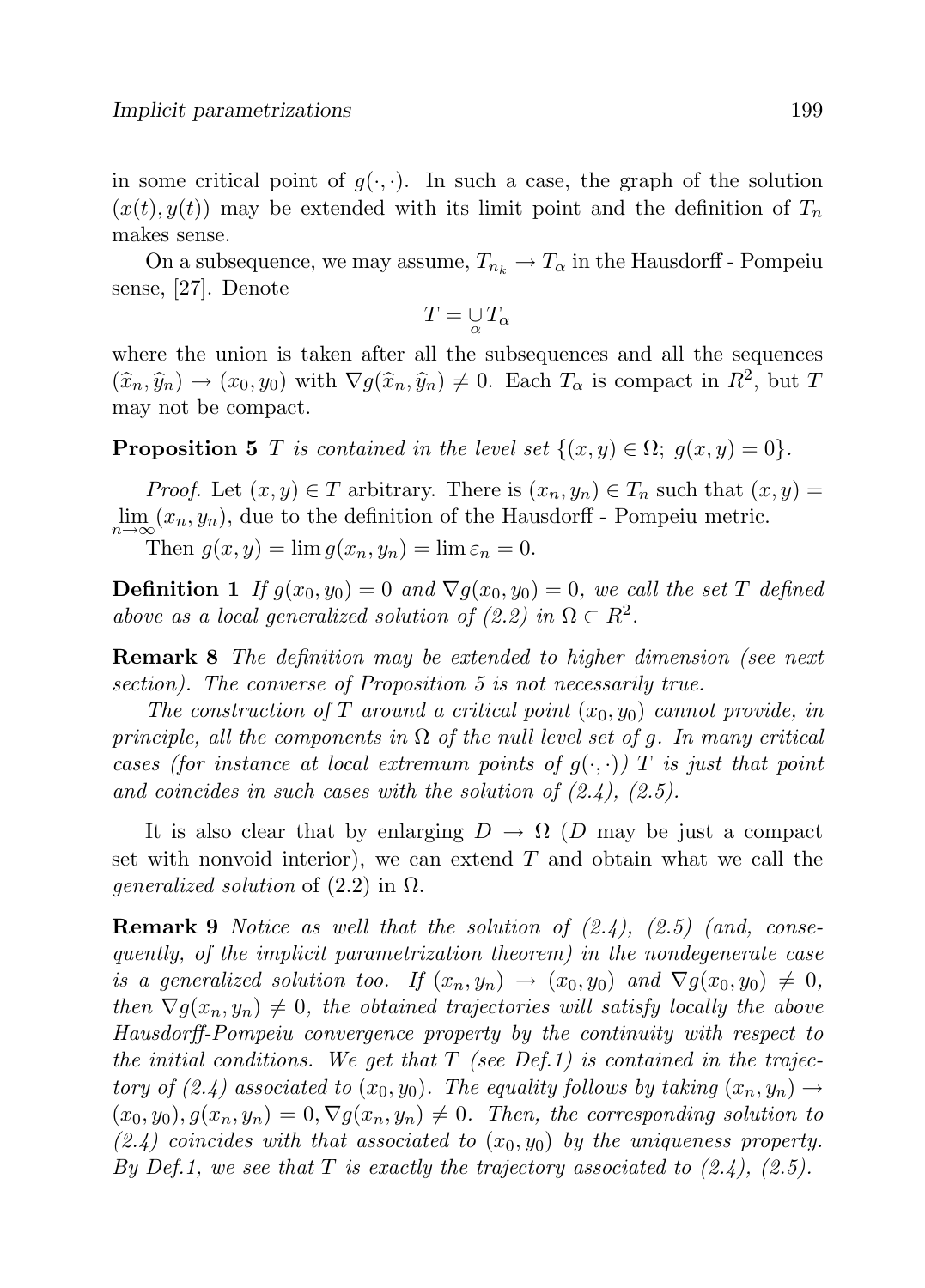in some critical point of  $g(\cdot, \cdot)$ . In such a case, the graph of the solution  $(x(t), y(t))$  may be extended with its limit point and the definition of  $T_n$ makes sense.

On a subsequence, we may assume,  $T_{n_k} \to T_\alpha$  in the Hausdorff - Pompeiu sense, [27]. Denote

$$
T=\mathop{\cup}\limits_{\alpha} T_{\alpha}
$$

where the union is taken after all the subsequences and all the sequences  $(\widehat{x}_n, \widehat{y}_n) \to (x_0, y_0)$  with  $\nabla g(\widehat{x}_n, \widehat{y}_n) \neq 0$ . Each  $T_\alpha$  is compact in  $R^2$ , but T may not be compact.

**Proposition 5** T is contained in the level set  $\{(x, y) \in \Omega; g(x, y) = 0\}.$ 

*Proof.* Let  $(x, y) \in T$  arbitrary. There is  $(x_n, y_n) \in T_n$  such that  $(x, y) =$  $\lim_{n\to\infty}(x_n, y_n)$ , due to the definition of the Hausdorff - Pompeiu metric.

Then  $g(x, y) = \lim g(x_n, y_n) = \lim \varepsilon_n = 0.$ 

**Definition 1** If  $g(x_0, y_0) = 0$  and  $\nabla g(x_0, y_0) = 0$ , we call the set T defined above as a local generalized solution of  $(2.2)$  in  $\Omega \subset R^2$ .

Remark 8 The definition may be extended to higher dimension (see next section). The converse of Proposition 5 is not necessarily true.

The construction of T around a critical point  $(x_0, y_0)$  cannot provide, in principle, all the components in  $\Omega$  of the null level set of g. In many critical cases (for instance at local extremum points of  $g(\cdot, \cdot)$ ) T is just that point and coincides in such cases with the solution of  $(2.4)$ ,  $(2.5)$ .

It is also clear that by enlarging  $D \to \Omega$  (D may be just a compact set with nonvoid interior), we can extend  $T$  and obtain what we call the *generalized solution* of  $(2.2)$  in  $\Omega$ .

**Remark 9** Notice as well that the solution of  $(2.4)$ ,  $(2.5)$  (and, consequently, of the implicit parametrization theorem) in the nondegenerate case is a generalized solution too. If  $(x_n, y_n) \rightarrow (x_0, y_0)$  and  $\nabla g(x_0, y_0) \neq 0$ , then  $\nabla g(x_n, y_n) \neq 0$ , the obtained trajectories will satisfy locally the above Hausdorff-Pompeiu convergence property by the continuity with respect to the initial conditions. We get that  $T$  (see Def.1) is contained in the trajectory of (2.4) associated to  $(x_0, y_0)$ . The equality follows by taking  $(x_n, y_n) \rightarrow$  $(x_0, y_0), g(x_n, y_n) = 0, \nabla g(x_n, y_n) \neq 0$ . Then, the corresponding solution to  $(2.4)$  coincides with that associated to  $(x_0, y_0)$  by the uniqueness property. By Def.1, we see that T is exactly the trajectory associated to  $(2.4)$ ,  $(2.5)$ .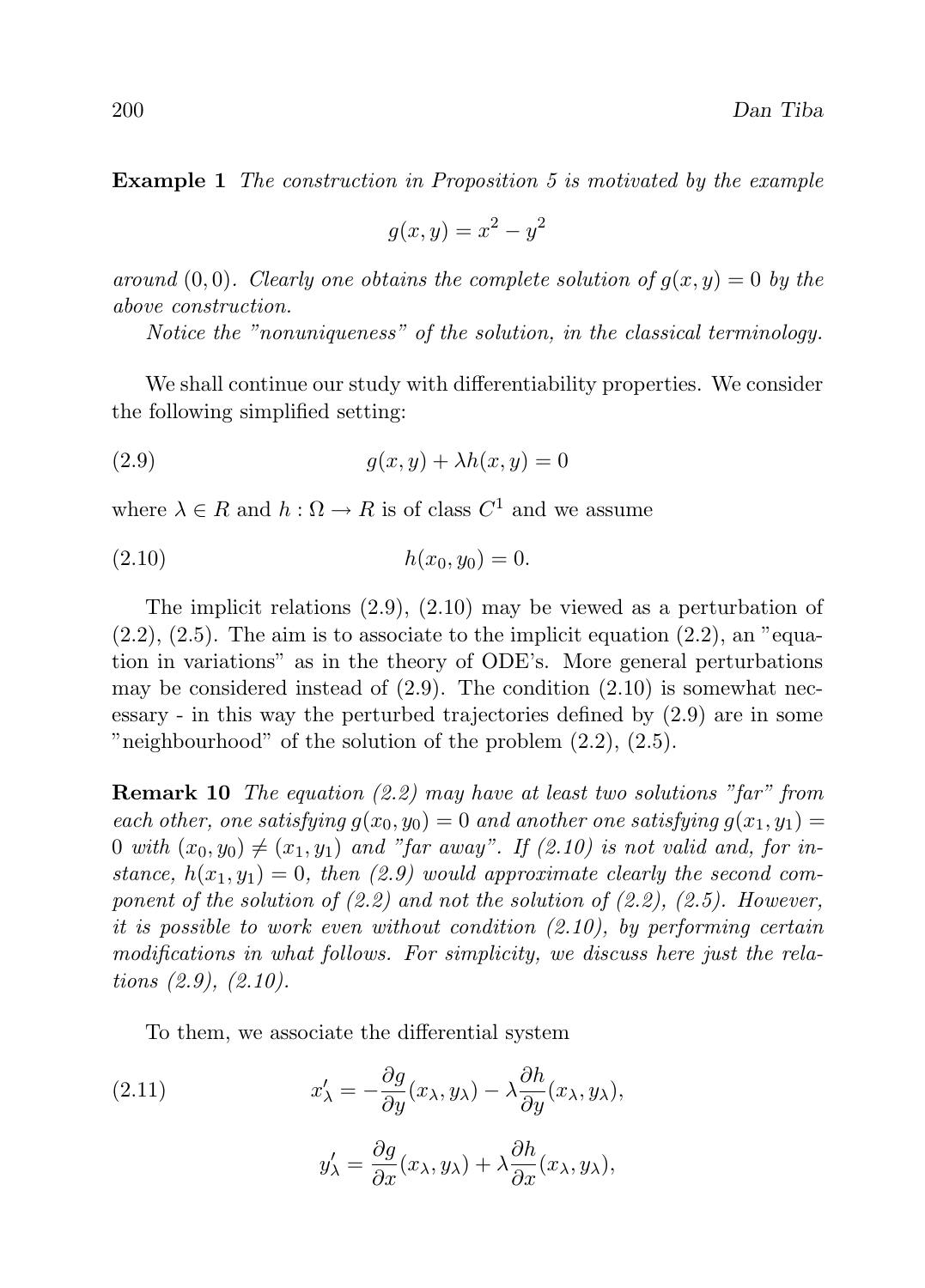Example 1 The construction in Proposition 5 is motivated by the example

$$
g(x, y) = x^2 - y^2
$$

around  $(0, 0)$ . Clearly one obtains the complete solution of  $q(x, y) = 0$  by the above construction.

Notice the "nonuniqueness" of the solution, in the classical terminology.

We shall continue our study with differentiability properties. We consider the following simplified setting:

$$
(2.9) \t\t g(x,y) + \lambda h(x,y) = 0
$$

where  $\lambda \in R$  and  $h: \Omega \to R$  is of class  $C^1$  and we assume

$$
(2.10) \t\t\t h(x_0, y_0) = 0.
$$

The implicit relations (2.9), (2.10) may be viewed as a perturbation of  $(2.2), (2.5)$ . The aim is to associate to the implicit equation  $(2.2)$ , an "equation in variations" as in the theory of ODE's. More general perturbations may be considered instead of  $(2.9)$ . The condition  $(2.10)$  is somewhat necessary - in this way the perturbed trajectories defined by (2.9) are in some "neighbourhood" of the solution of the problem (2.2), (2.5).

Remark 10 The equation (2.2) may have at least two solutions "far" from each other, one satisfying  $g(x_0, y_0) = 0$  and another one satisfying  $g(x_1, y_1) =$ 0 with  $(x_0, y_0) \neq (x_1, y_1)$  and "far away". If (2.10) is not valid and, for instance,  $h(x_1, y_1) = 0$ , then (2.9) would approximate clearly the second component of the solution of  $(2.2)$  and not the solution of  $(2.2)$ ,  $(2.5)$ . However, it is possible to work even without condition (2.10), by performing certain modifications in what follows. For simplicity, we discuss here just the relations (2.9), (2.10).

To them, we associate the differential system

(2.11) 
$$
x'_{\lambda} = -\frac{\partial g}{\partial y}(x_{\lambda}, y_{\lambda}) - \lambda \frac{\partial h}{\partial y}(x_{\lambda}, y_{\lambda}),
$$

$$
y'_{\lambda} = \frac{\partial g}{\partial x}(x_{\lambda}, y_{\lambda}) + \lambda \frac{\partial h}{\partial x}(x_{\lambda}, y_{\lambda}),
$$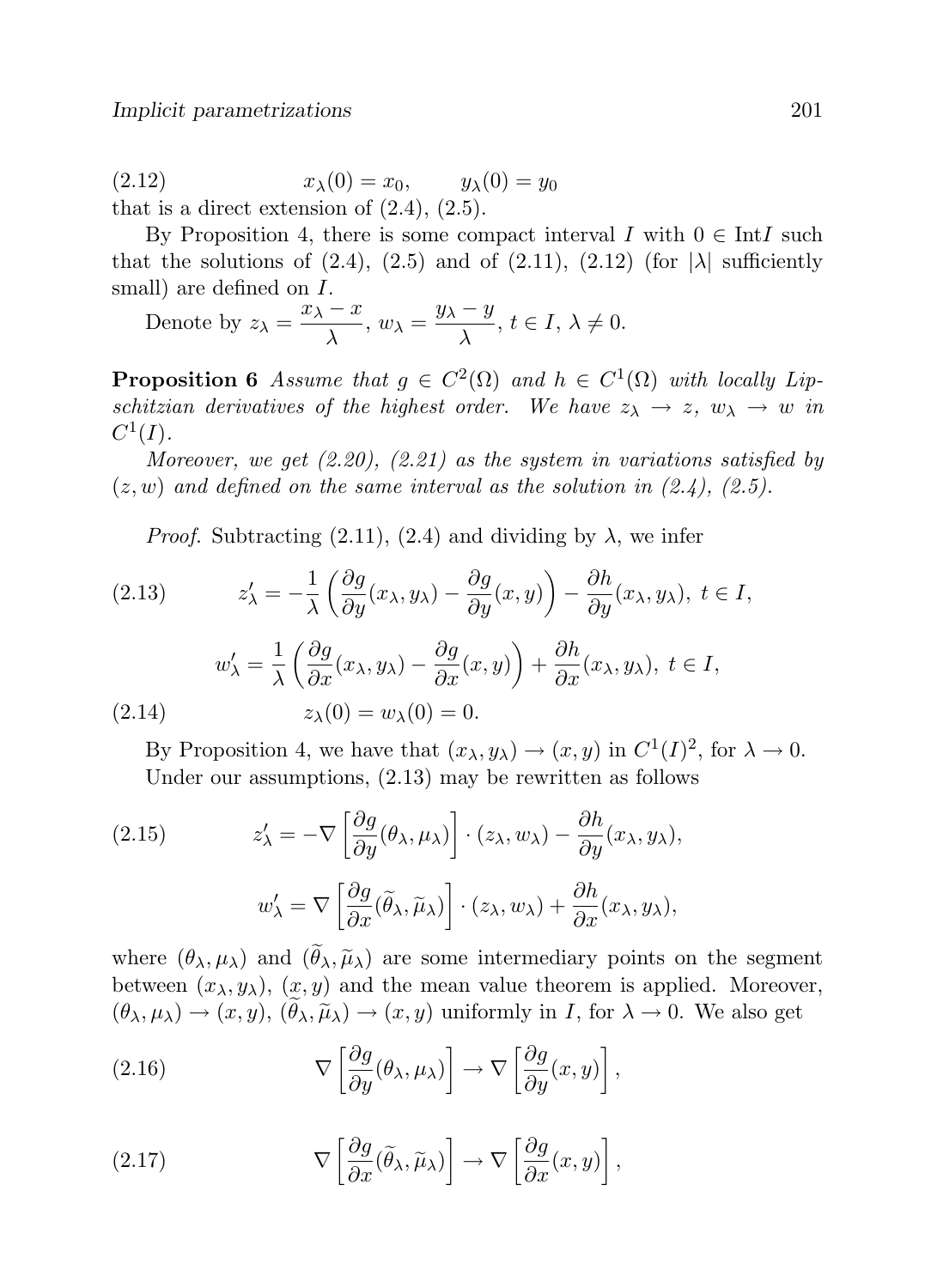(2.12)  $x_{\lambda}(0) = x_0, \qquad y_{\lambda}(0) = y_0$ that is a direct extension of  $(2.4)$ ,  $(2.5)$ .

By Proposition 4, there is some compact interval I with  $0 \in \text{Int}$  such that the solutions of  $(2.4)$ ,  $(2.5)$  and of  $(2.11)$ ,  $(2.12)$  (for  $|\lambda|$  sufficiently small) are defined on  $I$ .

Denote by 
$$
z_{\lambda} = \frac{x_{\lambda} - x}{\lambda}
$$
,  $w_{\lambda} = \frac{y_{\lambda} - y}{\lambda}$ ,  $t \in I$ ,  $\lambda \neq 0$ .

**Proposition 6** Assume that  $g \in C^2(\Omega)$  and  $h \in C^1(\Omega)$  with locally Lipschitzian derivatives of the highest order. We have  $z_{\lambda} \to z$ ,  $w_{\lambda} \to w$  in  $C^1(I).$ 

Moreover, we get  $(2.20)$ ,  $(2.21)$  as the system in variations satisfied by  $(z, w)$  and defined on the same interval as the solution in  $(2.4)$ ,  $(2.5)$ .

*Proof.* Subtracting (2.11), (2.4) and dividing by  $\lambda$ , we infer

(2.13) 
$$
z'_{\lambda} = -\frac{1}{\lambda} \left( \frac{\partial g}{\partial y}(x_{\lambda}, y_{\lambda}) - \frac{\partial g}{\partial y}(x, y) \right) - \frac{\partial h}{\partial y}(x_{\lambda}, y_{\lambda}), \ t \in I,
$$

$$
w'_{\lambda} = \frac{1}{\lambda} \left( \frac{\partial g}{\partial x}(x_{\lambda}, y_{\lambda}) - \frac{\partial g}{\partial x}(x, y) \right) + \frac{\partial h}{\partial x}(x_{\lambda}, y_{\lambda}), \ t \in I,
$$

$$
(2.14) \qquad z_{\lambda}(0) = w_{\lambda}(0) = 0.
$$

By Proposition 4, we have that  $(x_{\lambda}, y_{\lambda}) \rightarrow (x, y)$  in  $C^{1}(I)^{2}$ , for  $\lambda \rightarrow 0$ . Under our assumptions, (2.13) may be rewritten as follows

(2.15) 
$$
z'_{\lambda} = -\nabla \left[ \frac{\partial g}{\partial y} (\theta_{\lambda}, \mu_{\lambda}) \right] \cdot (z_{\lambda}, w_{\lambda}) - \frac{\partial h}{\partial y} (x_{\lambda}, y_{\lambda}),
$$

$$
w'_{\lambda} = \nabla \left[ \frac{\partial g}{\partial x} (\tilde{\theta}_{\lambda}, \tilde{\mu}_{\lambda}) \right] \cdot (z_{\lambda}, w_{\lambda}) + \frac{\partial h}{\partial x} (x_{\lambda}, y_{\lambda}),
$$

where  $(\theta_{\lambda}, \mu_{\lambda})$  and  $(\tilde{\theta}_{\lambda}, \tilde{\mu}_{\lambda})$  are some intermediary points on the segment between  $(x_{\lambda}, y_{\lambda})$ ,  $(x, y)$  and the mean value theorem is applied. Moreover,  $(\theta_\lambda, \mu_\lambda) \to (x, y), (\tilde{\theta}_\lambda, \tilde{\mu}_\lambda) \to (x, y)$  uniformly in I, for  $\lambda \to 0$ . We also get

(2.16) 
$$
\nabla \left[ \frac{\partial g}{\partial y} (\theta_\lambda, \mu_\lambda) \right] \to \nabla \left[ \frac{\partial g}{\partial y} (x, y) \right],
$$

(2.17) 
$$
\nabla \left[ \frac{\partial g}{\partial x} (\widetilde{\theta}_{\lambda}, \widetilde{\mu}_{\lambda}) \right] \to \nabla \left[ \frac{\partial g}{\partial x} (x, y) \right],
$$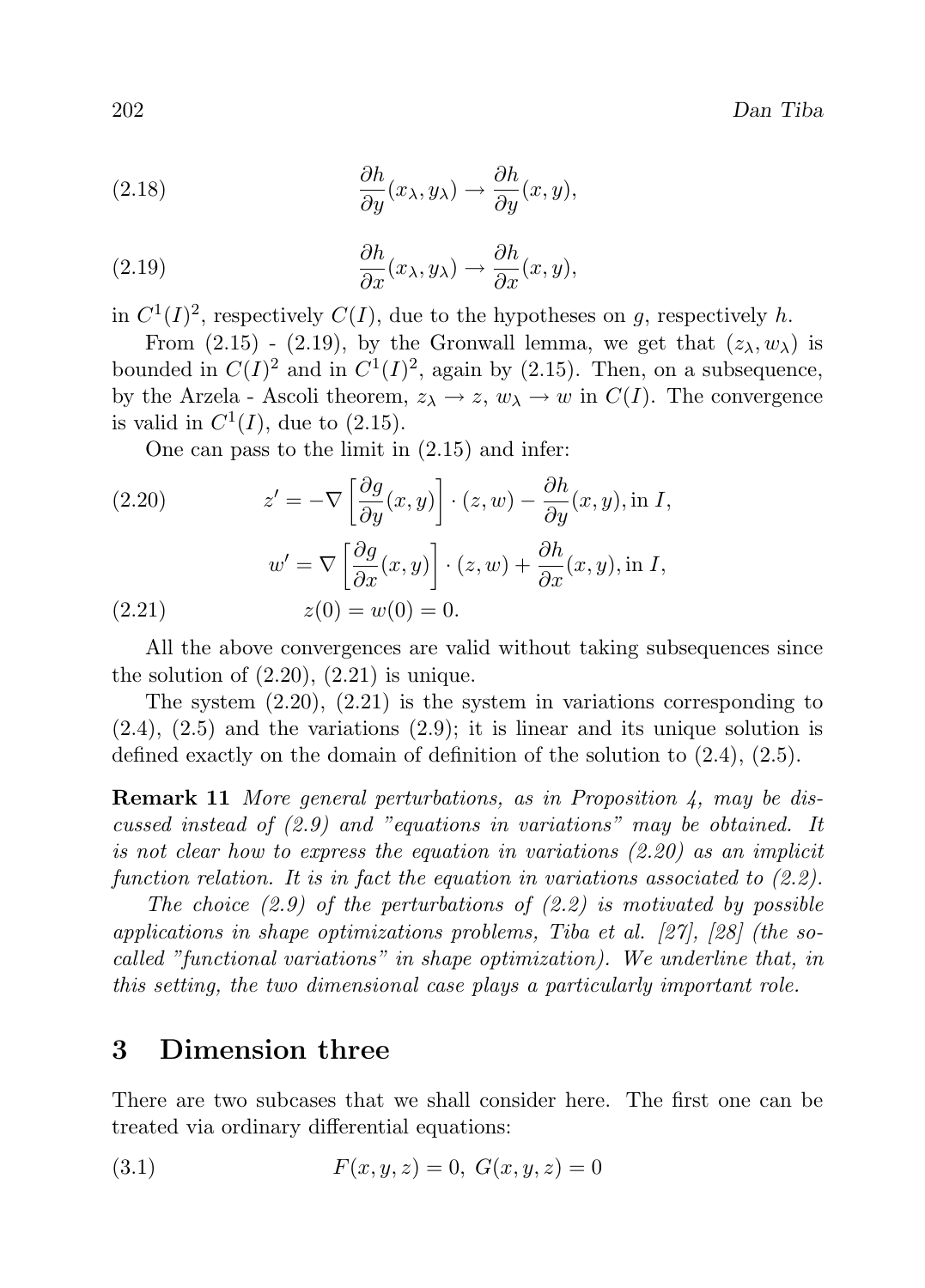(2.18) 
$$
\frac{\partial h}{\partial y}(x_{\lambda}, y_{\lambda}) \to \frac{\partial h}{\partial y}(x, y),
$$

(2.19) 
$$
\frac{\partial h}{\partial x}(x_{\lambda}, y_{\lambda}) \to \frac{\partial h}{\partial x}(x, y),
$$

in  $C^1(I)^2$ , respectively  $C(I)$ , due to the hypotheses on g, respectively h.

From (2.15) - (2.19), by the Gronwall lemma, we get that  $(z_\lambda, w_\lambda)$  is bounded in  $C(I)^2$  and in  $C^1(I)^2$ , again by (2.15). Then, on a subsequence, by the Arzela - Ascoli theorem,  $z_{\lambda} \to z$ ,  $w_{\lambda} \to w$  in  $C(I)$ . The convergence is valid in  $C^1(I)$ , due to  $(2.15)$ .

One can pass to the limit in (2.15) and infer:

(2.20) 
$$
z' = -\nabla \left[ \frac{\partial g}{\partial y}(x, y) \right] \cdot (z, w) - \frac{\partial h}{\partial y}(x, y), \text{ in } I,
$$

$$
w' = \nabla \left[ \frac{\partial g}{\partial x}(x, y) \right] \cdot (z, w) + \frac{\partial h}{\partial x}(x, y), \text{ in } I,
$$

$$
z(0) = w(0) = 0.
$$

All the above convergences are valid without taking subsequences since the solution of  $(2.20)$ ,  $(2.21)$  is unique.

The system (2.20), (2.21) is the system in variations corresponding to  $(2.4)$ ,  $(2.5)$  and the variations  $(2.9)$ ; it is linear and its unique solution is defined exactly on the domain of definition of the solution to (2.4), (2.5).

Remark 11 More general perturbations, as in Proposition 4, may be discussed instead of (2.9) and "equations in variations" may be obtained. It is not clear how to express the equation in variations (2.20) as an implicit function relation. It is in fact the equation in variations associated to  $(2.2)$ .

The choice  $(2.9)$  of the perturbations of  $(2.2)$  is motivated by possible applications in shape optimizations problems, Tiba et al. [27], [28] (the socalled "functional variations" in shape optimization). We underline that, in this setting, the two dimensional case plays a particularly important role.

## 3 Dimension three

There are two subcases that we shall consider here. The first one can be treated via ordinary differential equations:

(3.1) 
$$
F(x, y, z) = 0, G(x, y, z) = 0
$$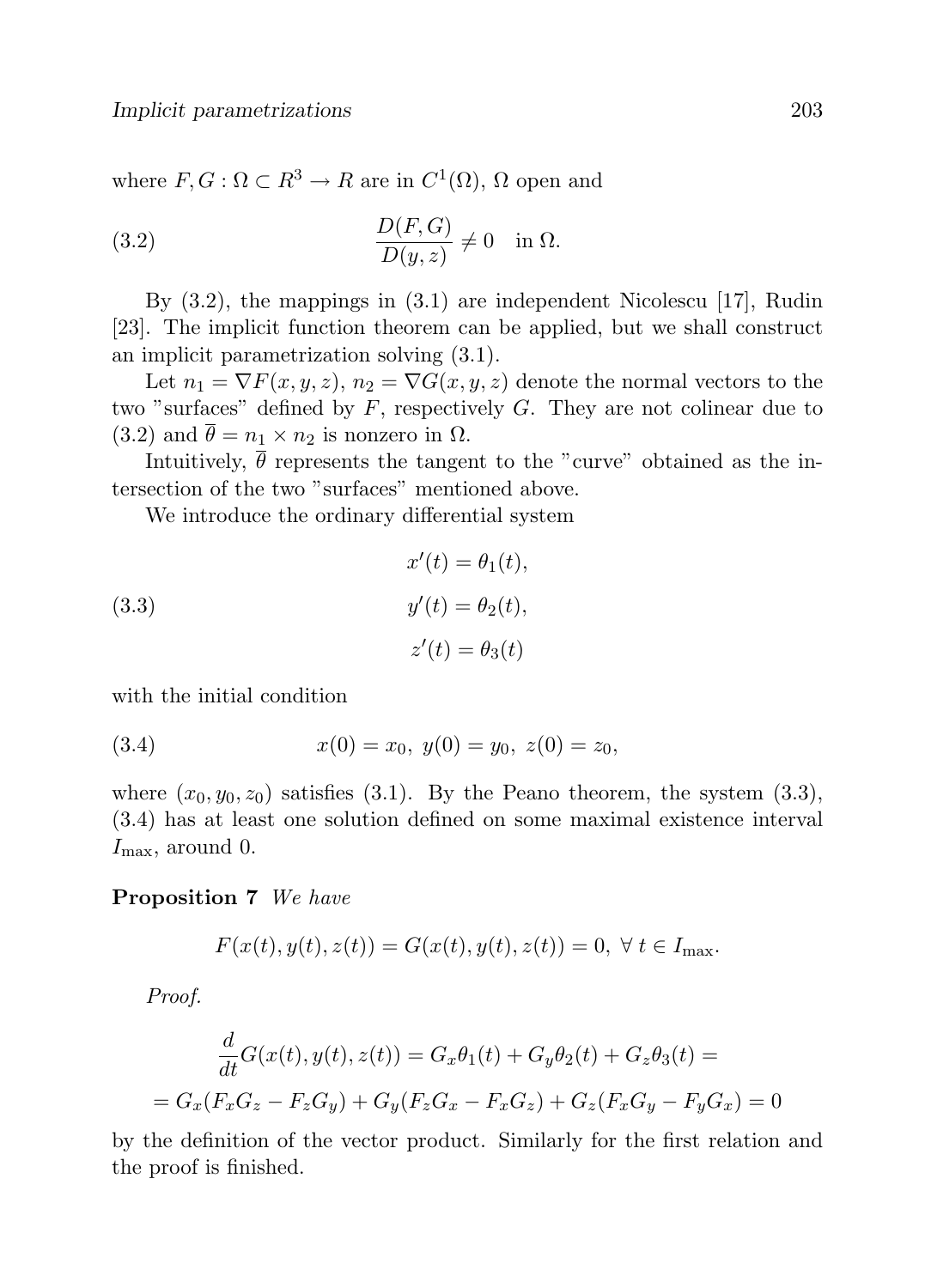where  $F, G: \Omega \subset \mathbb{R}^3 \to \mathbb{R}$  are in  $C^1(\Omega)$ ,  $\Omega$  open and

(3.2) 
$$
\frac{D(F,G)}{D(y,z)} \neq 0 \quad \text{in } \Omega.
$$

By (3.2), the mappings in (3.1) are independent Nicolescu [17], Rudin [23]. The implicit function theorem can be applied, but we shall construct an implicit parametrization solving (3.1).

Let  $n_1 = \nabla F(x, y, z), n_2 = \nabla G(x, y, z)$  denote the normal vectors to the two "surfaces" defined by  $F$ , respectively  $G$ . They are not colinear due to (3.2) and  $\bar{\theta} = n_1 \times n_2$  is nonzero in  $\Omega$ .

Intuitively,  $\bar{\theta}$  represents the tangent to the "curve" obtained as the intersection of the two "surfaces" mentioned above.

0

We introduce the ordinary differential system

(3.3)  

$$
x'(t) = \theta_1(t),
$$

$$
y'(t) = \theta_2(t),
$$

$$
z'(t) = \theta_3(t)
$$

with the initial condition

(3.4) 
$$
x(0) = x_0, \ y(0) = y_0, \ z(0) = z_0,
$$

where  $(x_0, y_0, z_0)$  satisfies (3.1). By the Peano theorem, the system (3.3), (3.4) has at least one solution defined on some maximal existence interval  $I_{\text{max}}$ , around 0.

### Proposition 7 We have

$$
F(x(t), y(t), z(t)) = G(x(t), y(t), z(t)) = 0, \forall t \in I_{\text{max}}.
$$

Proof.

$$
\frac{d}{dt}G(x(t), y(t), z(t)) = G_x \theta_1(t) + G_y \theta_2(t) + G_z \theta_3(t) =
$$
\n
$$
= G_x(F_x G_z - F_z G_y) + G_y(F_z G_x - F_x G_z) + G_z(F_x G_y - F_y G_x) = 0
$$

by the definition of the vector product. Similarly for the first relation and the proof is finished.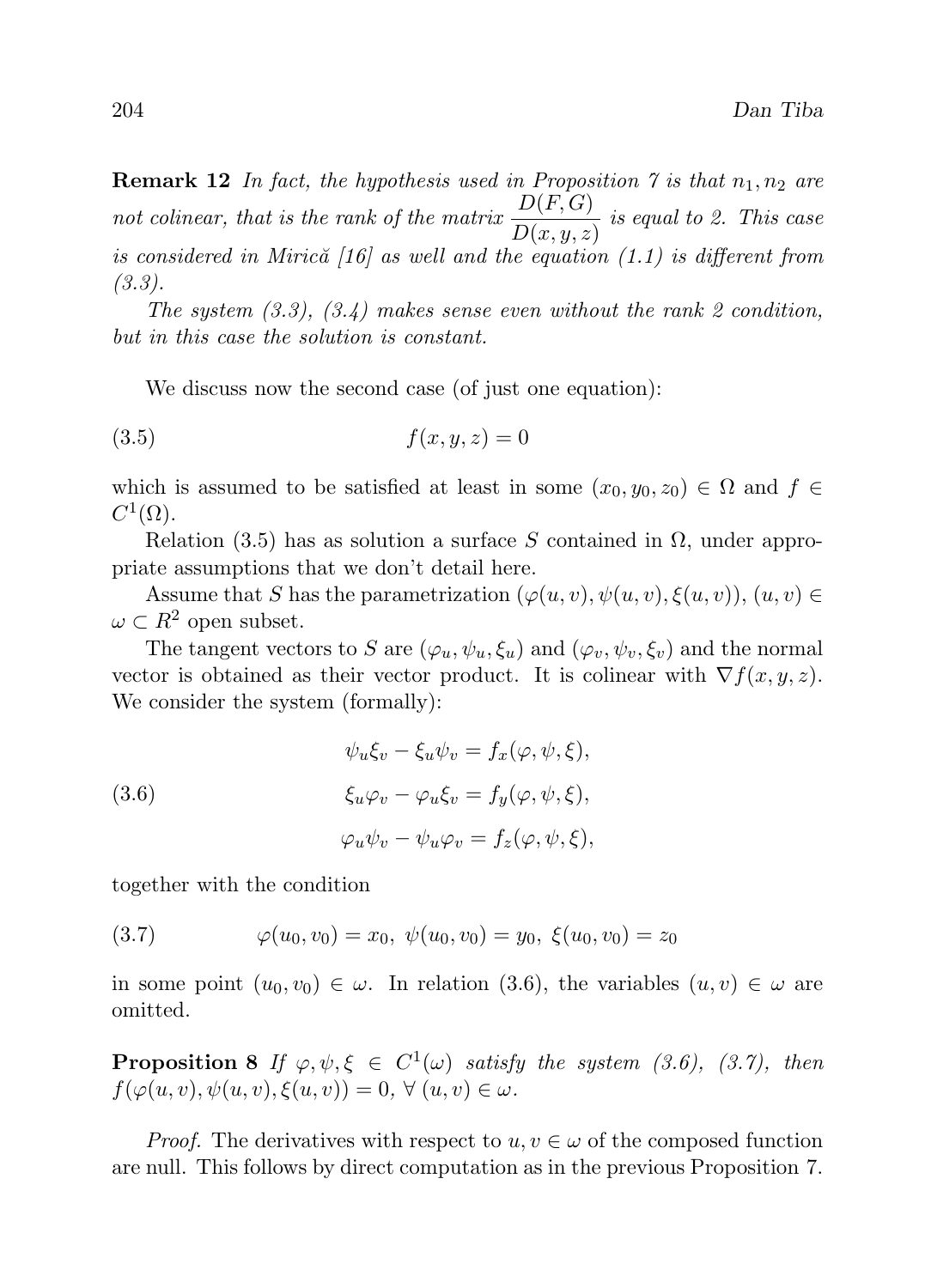**Remark 12** In fact, the hypothesis used in Proposition 7 is that  $n_1, n_2$  are not colinear, that is the rank of the matrix  $\frac{D(F,G)}{D(x,y,z)}$  is equal to 2. This case is considered in Miric $\tilde{a}$  [16] as well and the equation (1.1) is different from (3.3).

The system  $(3.3)$ ,  $(3.4)$  makes sense even without the rank 2 condition, but in this case the solution is constant.

We discuss now the second case (of just one equation):

$$
(3.5) \t\t f(x,y,z) = 0
$$

which is assumed to be satisfied at least in some  $(x_0, y_0, z_0) \in \Omega$  and  $f \in$  $C^1(\Omega)$ .

Relation (3.5) has as solution a surface S contained in  $\Omega$ , under appropriate assumptions that we don't detail here.

Assume that S has the parametrization  $(\varphi(u, v), \psi(u, v), \xi(u, v)), (u, v) \in$  $\omega \subset R^2$  open subset.

The tangent vectors to S are  $(\varphi_u, \psi_u, \xi_u)$  and  $(\varphi_v, \psi_v, \xi_v)$  and the normal vector is obtained as their vector product. It is colinear with  $\nabla f(x, y, z)$ . We consider the system (formally):

(3.6)  
\n
$$
\psi_u \xi_v - \xi_u \psi_v = f_x(\varphi, \psi, \xi),
$$
\n
$$
\xi_u \varphi_v - \varphi_u \xi_v = f_y(\varphi, \psi, \xi),
$$
\n
$$
\varphi_u \psi_v - \psi_u \varphi_v = f_z(\varphi, \psi, \xi),
$$

together with the condition

(3.7)  $\varphi(u_0, v_0) = x_0, \ \psi(u_0, v_0) = y_0, \ \xi(u_0, v_0) = z_0$ 

in some point  $(u_0, v_0) \in \omega$ . In relation (3.6), the variables  $(u, v) \in \omega$  are omitted.

**Proposition 8** If  $\varphi, \psi, \xi \in C^1(\omega)$  satisfy the system (3.6), (3.7), then  $f(\varphi(u, v), \psi(u, v), \xi(u, v)) = 0, \forall (u, v) \in \omega.$ 

*Proof.* The derivatives with respect to  $u, v \in \omega$  of the composed function are null. This follows by direct computation as in the previous Proposition 7.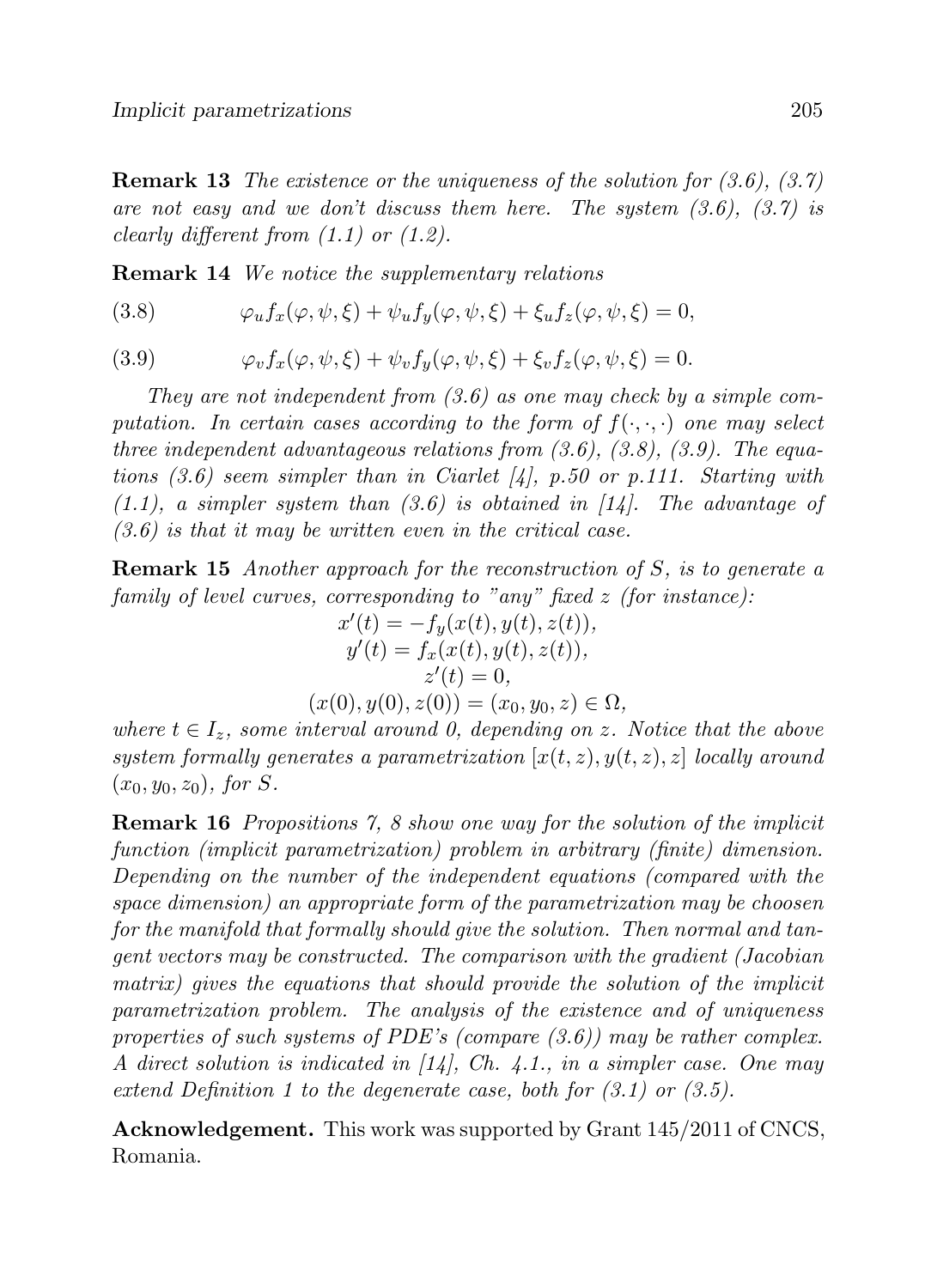**Remark 13** The existence or the uniqueness of the solution for  $(3.6)$ ,  $(3.7)$ are not easy and we don't discuss them here. The system  $(3.6)$ ,  $(3.7)$  is clearly different from  $(1.1)$  or  $(1.2)$ .

Remark 14 We notice the supplementary relations

(3.8)  $\varphi_u f_x(\varphi, \psi, \xi) + \psi_u f_u(\varphi, \psi, \xi) + \xi_u f_z(\varphi, \psi, \xi) = 0,$ 

(3.9) 
$$
\varphi_v f_x(\varphi, \psi, \xi) + \psi_v f_y(\varphi, \psi, \xi) + \xi_v f_z(\varphi, \psi, \xi) = 0.
$$

They are not independent from  $(3.6)$  as one may check by a simple computation. In certain cases according to the form of  $f(\cdot,\cdot,\cdot)$  one may select three independent advantageous relations from  $(3.6)$ ,  $(3.8)$ ,  $(3.9)$ . The equations  $(3.6)$  seem simpler than in Ciarlet [4], p.50 or p.111. Starting with  $(1.1)$ , a simpler system than  $(3.6)$  is obtained in  $[14]$ . The advantage of  $(3.6)$  is that it may be written even in the critical case.

Remark 15 Another approach for the reconstruction of S, is to generate a family of level curves, corresponding to "any" fixed  $z$  (for instance):

$$
x'(t) = -f_y(x(t), y(t), z(t)),
$$
  
\n
$$
y'(t) = f_x(x(t), y(t), z(t)),
$$
  
\n
$$
z'(t) = 0,
$$

 $(x(0), y(0), z(0)) = (x_0, y_0, z) \in \Omega,$ 

where  $t \in I_z$ , some interval around 0, depending on z. Notice that the above system formally generates a parametrization  $[x(t, z), y(t, z), z]$  locally around  $(x_0, y_0, z_0)$ , for S.

Remark 16 Propositions 7, 8 show one way for the solution of the implicit function (implicit parametrization) problem in arbitrary (finite) dimension. Depending on the number of the independent equations (compared with the space dimension) an appropriate form of the parametrization may be choosen for the manifold that formally should give the solution. Then normal and tangent vectors may be constructed. The comparison with the gradient (Jacobian matrix) gives the equations that should provide the solution of the implicit parametrization problem. The analysis of the existence and of uniqueness properties of such systems of PDE's (compare  $(3.6)$ ) may be rather complex. A direct solution is indicated in  $[14]$ , Ch. 4.1., in a simpler case. One may extend Definition 1 to the degenerate case, both for (3.1) or (3.5).

Acknowledgement. This work was supported by Grant 145/2011 of CNCS, Romania.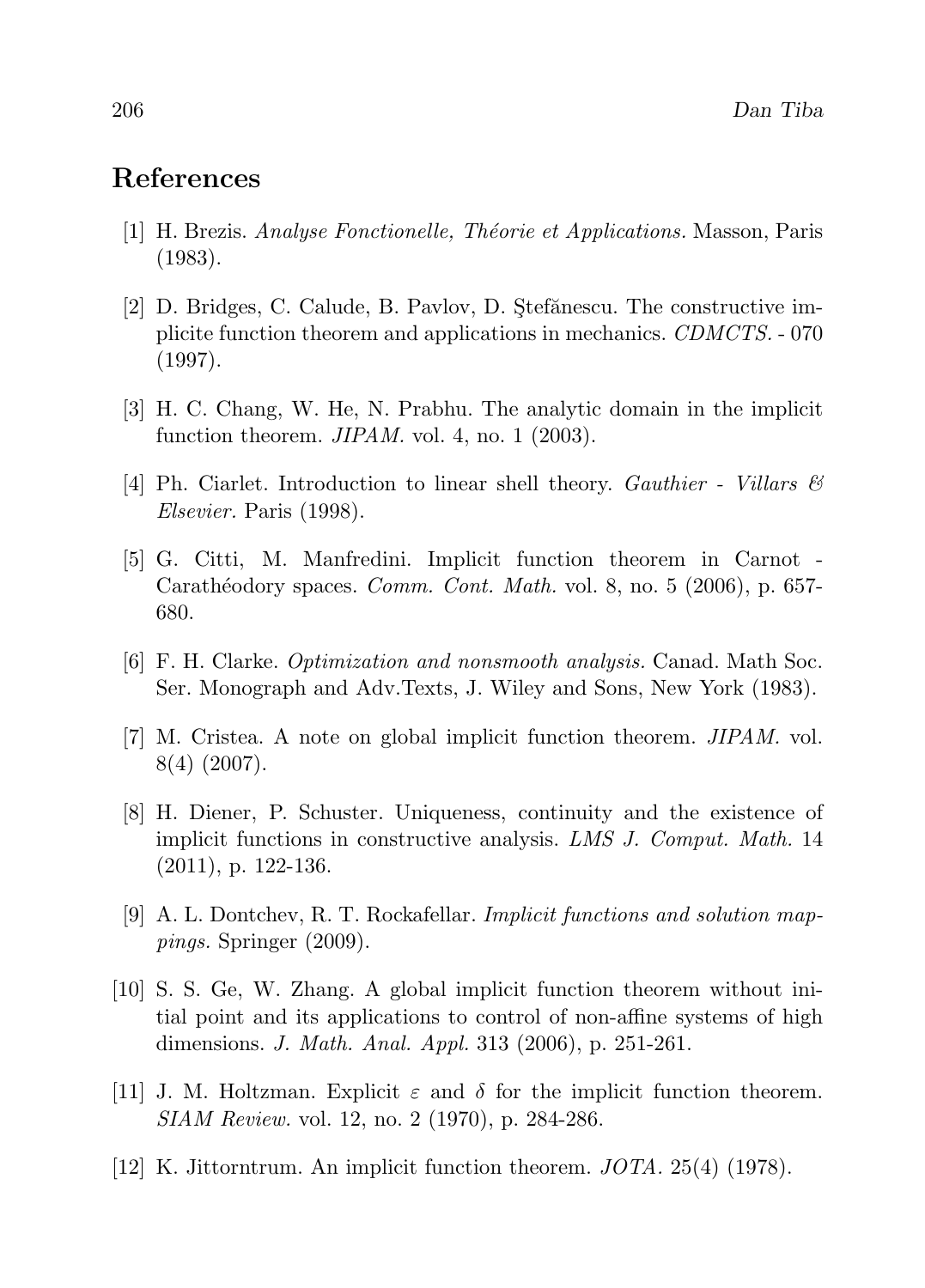# References

- [1] H. Brezis. *Analyse Fonctionelle, Théorie et Applications*. Masson, Paris (1983).
- [2] D. Bridges, C. Calude, B. Pavlov, D. Stefănescu. The constructive implicite function theorem and applications in mechanics. CDMCTS. - 070 (1997).
- [3] H. C. Chang, W. He, N. Prabhu. The analytic domain in the implicit function theorem.  $JIPAM$ . vol. 4, no. 1 (2003).
- [4] Ph. Ciarlet. Introduction to linear shell theory. *Gauthier Villars*  $\mathcal{B}$ Elsevier. Paris (1998).
- [5] G. Citti, M. Manfredini. Implicit function theorem in Carnot Carathéodory spaces. *Comm. Cont. Math.* vol. 8, no. 5 (2006), p. 657-680.
- [6] F. H. Clarke. Optimization and nonsmooth analysis. Canad. Math Soc. Ser. Monograph and Adv.Texts, J. Wiley and Sons, New York (1983).
- [7] M. Cristea. A note on global implicit function theorem. JIPAM. vol. 8(4) (2007).
- [8] H. Diener, P. Schuster. Uniqueness, continuity and the existence of implicit functions in constructive analysis. LMS J. Comput. Math. 14 (2011), p. 122-136.
- [9] A. L. Dontchev, R. T. Rockafellar. Implicit functions and solution mappings. Springer (2009).
- [10] S. S. Ge, W. Zhang. A global implicit function theorem without initial point and its applications to control of non-affine systems of high dimensions. J. Math. Anal. Appl. 313 (2006), p. 251-261.
- [11] J. M. Holtzman. Explicit  $\varepsilon$  and  $\delta$  for the implicit function theorem. SIAM Review. vol. 12, no. 2 (1970), p. 284-286.
- [12] K. Jittorntrum. An implicit function theorem. JOTA. 25(4) (1978).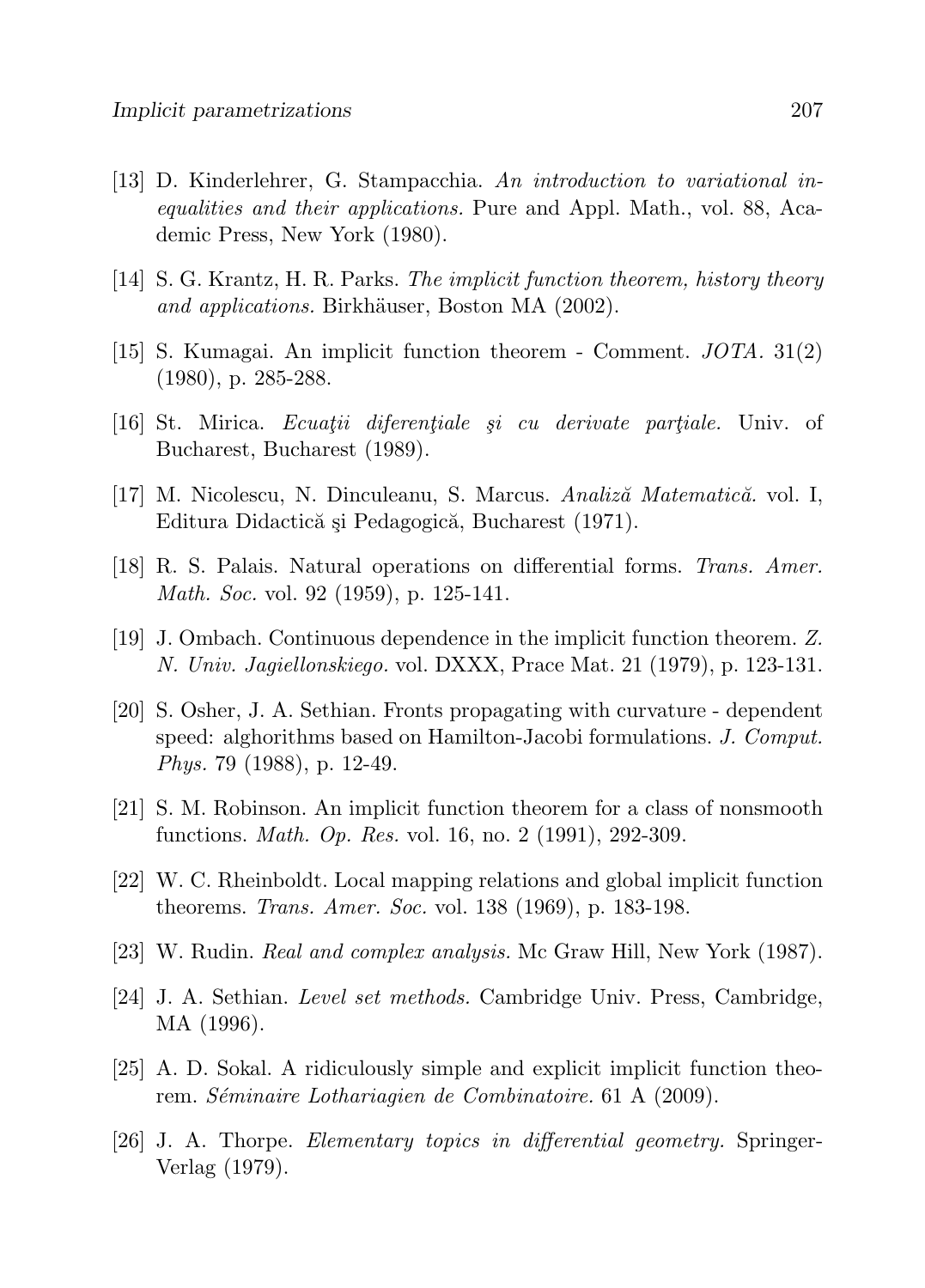- [13] D. Kinderlehrer, G. Stampacchia. An introduction to variational inequalities and their applications. Pure and Appl. Math., vol. 88, Academic Press, New York (1980).
- [14] S. G. Krantz, H. R. Parks. The implicit function theorem, history theory and applications. Birkhäuser, Boston MA (2002).
- [15] S. Kumagai. An implicit function theorem Comment. JOTA. 31(2) (1980), p. 285-288.
- $[16]$  St. Mirica. *Ecuatii diferentiale și cu derivate partiale*. Univ. of Bucharest, Bucharest (1989).
- [17] M. Nicolescu, N. Dinculeanu, S. Marcus. Analiză Matematică. vol. I, Editura Didactică și Pedagogică, Bucharest (1971).
- [18] R. S. Palais. Natural operations on differential forms. Trans. Amer. Math. Soc. vol. 92 (1959), p. 125-141.
- [19] J. Ombach. Continuous dependence in the implicit function theorem. Z. N. Univ. Jagiellonskiego. vol. DXXX, Prace Mat. 21 (1979), p. 123-131.
- [20] S. Osher, J. A. Sethian. Fronts propagating with curvature dependent speed: alghorithms based on Hamilton-Jacobi formulations. J. Comput. Phys. 79 (1988), p. 12-49.
- [21] S. M. Robinson. An implicit function theorem for a class of nonsmooth functions. Math. Op. Res. vol. 16, no. 2 (1991), 292-309.
- [22] W. C. Rheinboldt. Local mapping relations and global implicit function theorems. Trans. Amer. Soc. vol. 138 (1969), p. 183-198.
- [23] W. Rudin. Real and complex analysis. Mc Graw Hill, New York (1987).
- [24] J. A. Sethian. Level set methods. Cambridge Univ. Press, Cambridge, MA (1996).
- [25] A. D. Sokal. A ridiculously simple and explicit implicit function theorem. Séminaire Lothariagien de Combinatoire. 61 A (2009).
- [26] J. A. Thorpe. Elementary topics in differential geometry. Springer-Verlag (1979).